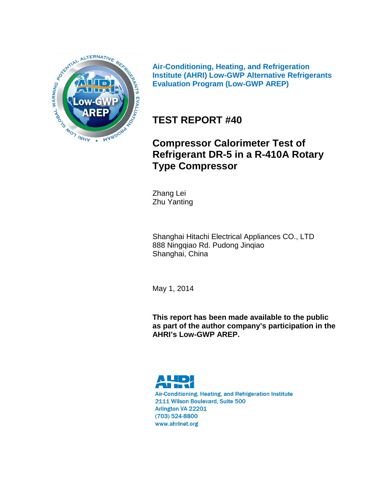

**Air-Conditioning, Heating, and Refrigeration Institute (AHRI) Low-GWP Alternative Refrigerants Evaluation Program (Low-GWP AREP)**

# **TEST REPORT #40**

# **Compressor Calorimeter Test of Refrigerant DR-5 in a R-410A Rotary Type Compressor**

Zhang Lei Zhu Yanting

Shanghai Hitachi Electrical Appliances CO., LTD 888 Ningqiao Rd. Pudong Jinqiao Shanghai, China

May 1, 2014

**This report has been made available to the public as part of the author company's participation in the AHRI's Low-GWP AREP.**

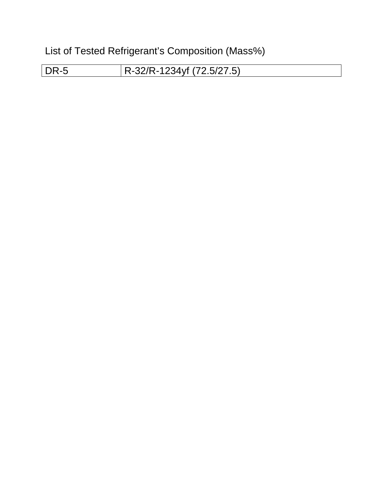List of Tested Refrigerant's Composition (Mass%)

DR-5 R-32/R-1234yf (72.5/27.5)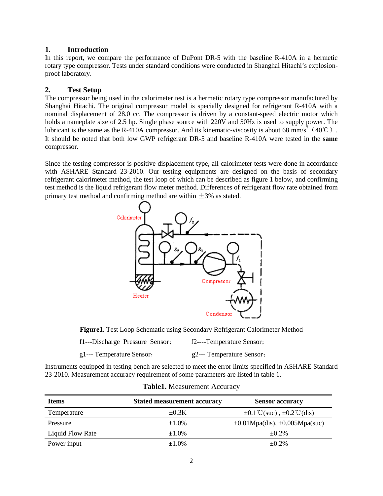#### **1. Introduction**

In this report, we compare the performance of DuPont DR-5 with the baseline R-410A in a hermetic rotary type compressor. Tests under standard conditions were conducted in Shanghai Hitachi's explosionproof laboratory.

#### **2. Test Setup**

The compressor being used in the calorimeter test is a hermetic rotary type compressor manufactured by Shanghai Hitachi. The original compressor model is specially designed for refrigerant R-410A with a nominal displacement of 28.0 cc. The compressor is driven by a constant-speed electric motor which holds a nameplate size of 2.5 hp. Single phase source with 220V and 50Hz is used to supply power. The lubricant is the same as the R-410A compressor. And its kinematic-viscosity is about 68 mm/s<sup>2</sup> (40°C). It should be noted that both low GWP refrigerant DR-5 and baseline R-410A were tested in the **same** compressor.

Since the testing compressor is positive displacement type, all calorimeter tests were done in accordance with ASHARE Standard 23-2010. Our testing equipments are designed on the basis of secondary refrigerant calorimeter method, the test loop of which can be described as figure 1 below, and confirming test method is the liquid refrigerant flow meter method. Differences of refrigerant flow rate obtained from primary test method and confirming method are within  $\pm$ 3% as stated.



**Figure1.** Test Loop Schematic using Secondary Refrigerant Calorimeter Method

| f1---Discharge Pressure Sensor; | f2----Temperature Sensor; |
|---------------------------------|---------------------------|
|---------------------------------|---------------------------|

g1--- Temperature Sensor; g2--- Temperature Sensor;

Instruments equipped in testing bench are selected to meet the error limits specified in ASHARE Standard 23-2010. Measurement accuracy requirement of some parameters are listed in table 1.

| <b>Items</b>     | <b>Stated measurement accuracy</b> | <b>Sensor accuracy</b>                             |
|------------------|------------------------------------|----------------------------------------------------|
| Temperature      | $+0.3K$                            | $\pm 0.1^{\circ}$ C(suc), $\pm 0.2^{\circ}$ C(dis) |
| Pressure         | $\pm 1.0\%$                        | $\pm 0.01$ Mpa(dis), $\pm 0.005$ Mpa(suc)          |
| Liquid Flow Rate | $\pm 1.0\%$                        | $+0.2\%$                                           |
| Power input      | $+1.0%$                            | $+0.2\%$                                           |

| Table1. Measurement Accuracy |
|------------------------------|
|                              |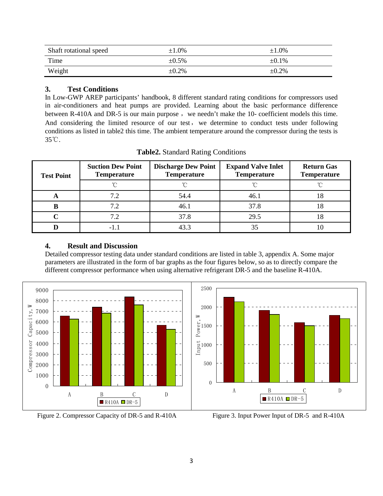| Shaft rotational speed | $\pm 1.0\%$ | $\pm 1.0\%$ |
|------------------------|-------------|-------------|
| Time                   | $\pm 0.5\%$ | $\pm 0.1\%$ |
| Weight                 | $\pm 0.2\%$ | $\pm 0.2\%$ |

#### **3. Test Conditions**

In Low-GWP AREP participants' handbook, 8 different standard rating conditions for compressors used in air-conditioners and heat pumps are provided. Learning about the basic performance difference between R-410A and DR-5 is our main purpose, we needn't make the 10- coefficient models this time. And considering the limited resource of our test, we determine to conduct tests under following conditions as listed in table2 this time. The ambient temperature around the compressor during the tests is 35℃.

| <b>Test Point</b> | <b>Suction Dew Point</b><br><b>Temperature</b> | <b>Discharge Dew Point</b><br><b>Temperature</b> | <b>Expand Valve Inlet</b><br><b>Temperature</b> | <b>Return Gas</b><br><b>Temperature</b> |  |
|-------------------|------------------------------------------------|--------------------------------------------------|-------------------------------------------------|-----------------------------------------|--|
|                   | $\sim$                                         |                                                  | ∽                                               |                                         |  |
| A                 | 7.2                                            | 54.4                                             | 46.1                                            | 18                                      |  |
|                   | 7.2                                            | 46.1                                             | 37.8                                            | 18                                      |  |
|                   | 7.2                                            | 37.8                                             | 29.5                                            | 10                                      |  |
|                   | -1.1                                           | 43.3                                             | 35                                              | Ю                                       |  |

**Table2.** Standard Rating Conditions

### **4. Result and Discussion**

Detailed compressor testing data under standard conditions are listed in table 3, appendix A. Some major parameters are illustrated in the form of bar graphs as the four figures below, so as to directly compare the different compressor performance when using alternative refrigerant DR-5 and the baseline R-410A.



Figure 2. Compressor Capacity of DR-5 and R-410A Figure 3. Input Power Input of DR-5 and R-410A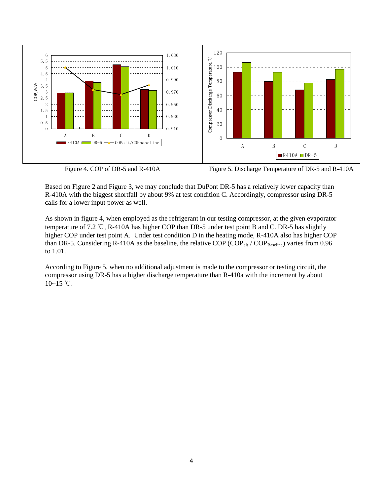



Figure 4. COP of DR-5 and R-410A Figure 5. Discharge Temperature of DR-5 and R-410A

Based on Figure 2 and Figure 3, we may conclude that DuPont DR-5 has a relatively lower capacity than R-410A with the biggest shortfall by about 9% at test condition C. Accordingly, compressor using DR-5 calls for a lower input power as well.

As shown in figure 4, when employed as the refrigerant in our testing compressor, at the given evaporator temperature of 7.2 ℃, R-410A has higher COP than DR-5 under test point B and C. DR-5 has slightly higher COP under test point A. Under test condition D in the heating mode, R-410A also has higher COP than DR-5. Considering R-410A as the baseline, the relative COP (COP<sub>alt</sub> / COP<sub>Baseline</sub>) varies from 0.96 to 1.01.

According to Figure 5, when no additional adjustment is made to the compressor or testing circuit, the compressor using DR-5 has a higher discharge temperature than R-410a with the increment by about  $10~15$  °C.